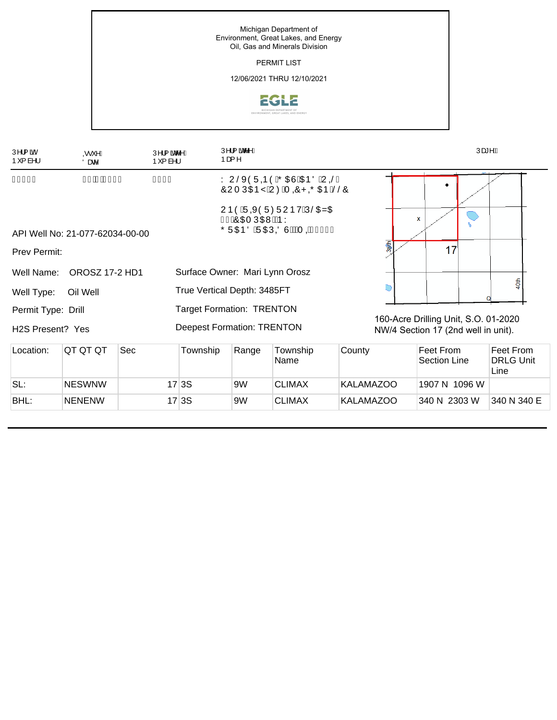

| Ú^¦{ ãoÁ<br>⊚∙`^Á<br>$P^{r}$ { à^¦<br>Öær <sup>^</sup> |                                 |                                                                           | Ú^¦{ ão^^Á<br>$P^{r}$ { à^¦ | Ú^¦{ ãoc^^Á<br>Þæ {∧              |                                                 |        | Úæ*^Æ                               |                                      |  |                               |  |
|--------------------------------------------------------|---------------------------------|---------------------------------------------------------------------------|-----------------------------|-----------------------------------|-------------------------------------------------|--------|-------------------------------------|--------------------------------------|--|-------------------------------|--|
| ÎFÍÌ                                                   |                                 | ÎIJÌ<br>Y UŠXÒÜQÞÒÁÕŒÙÁŒÞÖÁUQŠÁ<br>FGEDIEGEGF<br>ÔUTÚŒDŸÁUØÁT OÔPOÕŒÞÁŠŠÔ |                             |                                   |                                                 |        |                                     |                                      |  |                               |  |
|                                                        | API Well No: 21-077-62034-00-00 |                                                                           |                             | Í ÁÖ OET Ú OEVNÊAÞY               | UÞÒÁÜQXÒÜØÜUÞVÁÚŠOZŒ<br>ÕÜŒÞÖÁÜŒÚØÖÙÉÁAT QÍJÍ€H |        |                                     | $\mathbf x$                          |  |                               |  |
| <b>Prev Permit:</b>                                    |                                 |                                                                           |                             |                                   |                                                 |        | 38th                                | 17                                   |  |                               |  |
| Well Name:                                             | <b>OROSZ 17-2 HD1</b>           |                                                                           |                             |                                   | Surface Owner: Mari Lynn Orosz                  |        |                                     |                                      |  |                               |  |
| Well Type:                                             | Oil Well                        |                                                                           |                             | True Vertical Depth: 3485FT       |                                                 |        |                                     | 40th                                 |  |                               |  |
| Permit Type: Drill                                     |                                 |                                                                           |                             | <b>Target Formation: TRENTON</b>  |                                                 |        |                                     | 160-Acre Drilling Unit, S.O. 01-2020 |  |                               |  |
| H <sub>2</sub> S Present? Yes                          |                                 |                                                                           |                             | <b>Deepest Formation: TRENTON</b> |                                                 |        | NW/4 Section 17 (2nd well in unit). |                                      |  |                               |  |
| Location:                                              | QT QT QT                        | Sec                                                                       | Township                    | Range                             | Township<br>Name                                | County |                                     | Feet From<br>Section Line            |  | Feet From<br><b>DRLG Unit</b> |  |

|      |               |       | ັ  | Name          |                  | Section Line  | <b>DRLG Unit</b><br>Line |
|------|---------------|-------|----|---------------|------------------|---------------|--------------------------|
| SL:  | <b>NESWNW</b> | 17 3S | 9W | <b>CLIMAX</b> | KALAMAZOO        | 1907 N 1096 W |                          |
| BHL: | <b>NENENW</b> | 17 3S | 9W | <b>CLIMAX</b> | <b>KALAMAZOO</b> | 340 N 2303 W  | 340 N 340 E              |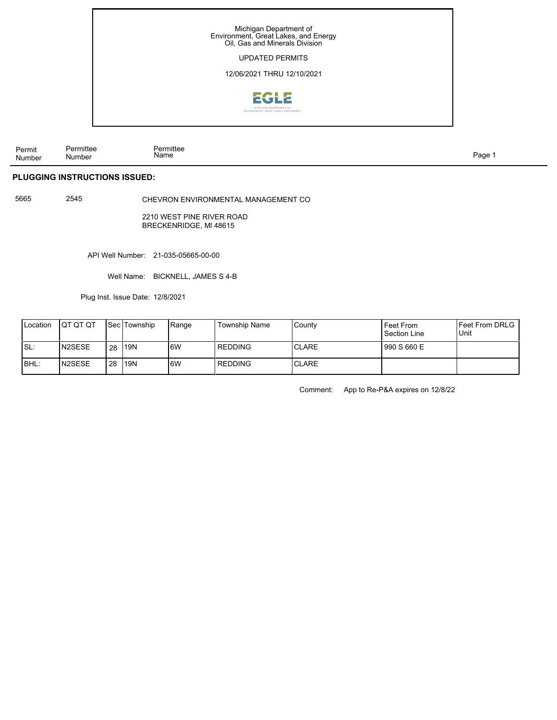

Permit Number Permittee Name Page 1

## **PLUGGING INSTRUCTIONS ISSUED:**

Number

5665 2545

CHEVRON ENVIRONMENTAL MANAGEMENT CO

2210 WEST PINE RIVER ROAD BRECKENRIDGE, Ml 48615

API Well Number: 21-035-05665-00-00

Well Name: BICKNELL, JAMES S 4-B

Plug Inst. Issue Date: 12/8/2021

| <b>Location</b> | ΙΟΤ ΟΤ ΟΤ      |    | <b>Sec Township</b> | <b>Range</b> | Township Name | County        | Feet From<br>Section Line | <b>IFeet From DRLG</b><br>Unit |
|-----------------|----------------|----|---------------------|--------------|---------------|---------------|---------------------------|--------------------------------|
| Is∟:            | <b>IN2SESE</b> | 28 | <b>119N</b>         | 6W           | l REDDING     | <b>ICLARE</b> | 1990 S 660 E              |                                |
| <b>IBHL:</b>    | IN2SESE        | 28 | <b>119N</b>         | l6W          | l REDDING     | <b>ICLARE</b> |                           |                                |

Comment: App to Re-P&A expires on 12/8/22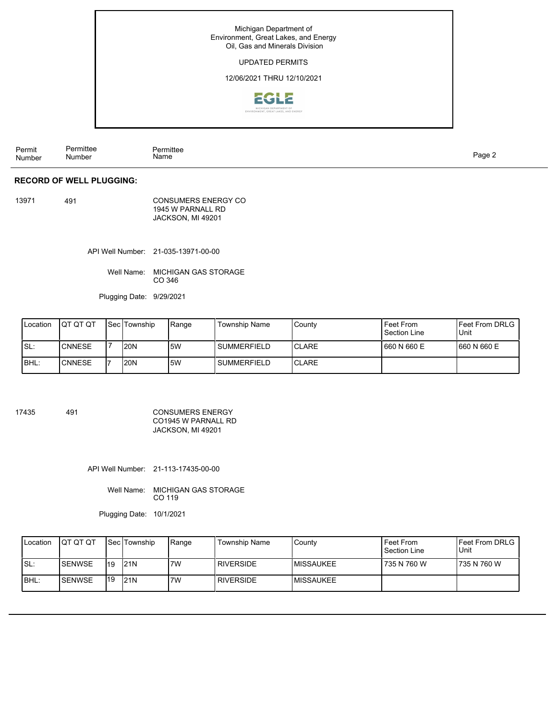

Permit Number Permittee Number Permittee Page 2 Name

## **RECORD OF WELL PLUGGING:**

13971 491

CONSUMERS ENERGY CO 1945 W PARNALL RD JACKSON, MI 49201

API Well Number: 21-035-13971-00-00

Well Name: MICHIGAN GAS STORAGE CO 346

Plugging Date: 9/29/2021

| Location | <b>IQT QT QT</b> | <b>Sec Township</b> | Range | Township Name | County        | Feet From<br>Section Line | <b>IFeet From DRLG</b><br>Unit |
|----------|------------------|---------------------|-------|---------------|---------------|---------------------------|--------------------------------|
| ISL:     | <b>CNNESE</b>    | <b>20N</b>          | 5W    | l SUMMERFIELD | ICLARE        | 1660 N 660 E              | 1660 N 660 E                   |
| IBHL:    | <b>CNNESE</b>    | <b>20N</b>          | .5W   | l SUMMERFIELD | <b>ICLARE</b> |                           |                                |

17435 491

CONSUMERS ENERGY CO1945 W PARNALL RD JACKSON, MI 49201

API Well Number: 21-113-17435-00-00

Well Name: MICHIGAN GAS STORAGE CO 119

Plugging Date: 10/1/2021

| Location | <b>IQT QT QT</b> |     | <b>Sec Township</b> | 'Range | <b>Township Name</b> | County     | Feet From<br>Section Line | <b>IFeet From DRLG</b><br><b>I</b> Unit |
|----------|------------------|-----|---------------------|--------|----------------------|------------|---------------------------|-----------------------------------------|
| ISL:     | <b>I</b> SENWSE  | 119 | 121N                | 7W     | <b>RIVERSIDE</b>     | IMISSAUKEE | 735 N 760 W               | 1735 N 760 W                            |
| IBHL:    | <b>ISENWSE</b>   | 119 | 121N                | 7W     | <b>RIVERSIDE</b>     | IMISSAUKEE |                           |                                         |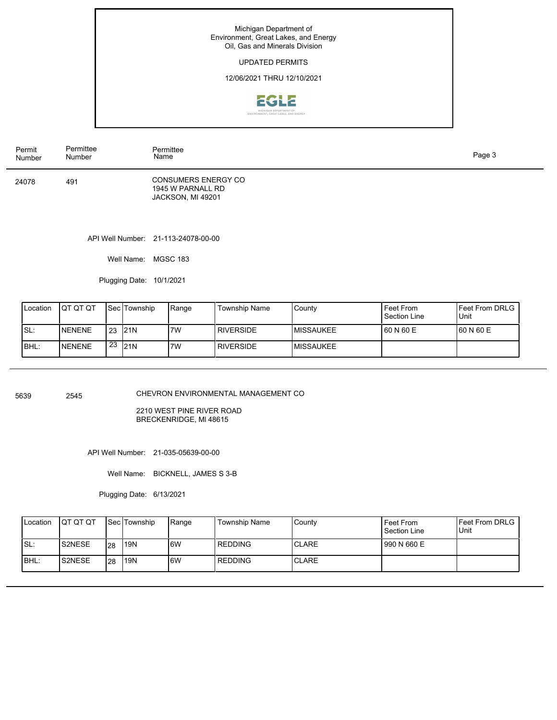Michigan Department of Environment, Great Lakes, and Energy Oil, Gas and Minerals Division

## UPDATED PERMITS

12/06/2021 THRU 12/10/2021



API Well Number: 21-113-24078-00-00 24078 491 Permit Number Permittee Number Permittee CONSUMERS ENERGY CO 1945 W PARNALL RD JACKSON, MI 49201 Page 3 Name

Well Name: MGSC 183

Plugging Date: 10/1/2021

| Location | <b>IQT QT QT</b> |    | <b>Sec Township</b> | Range | Township Name    | County     | Feet From<br>Section Line | <b>IFeet From DRLG</b><br>Unit |
|----------|------------------|----|---------------------|-------|------------------|------------|---------------------------|--------------------------------|
| 'SL∶     | <b>INENENE</b>   |    | $123$ 21N           | 7W    | <b>RIVERSIDE</b> | IMISSAUKEE | 160 N 60 E                | 160 N 60 E                     |
| BHL:     | NENENE           | 23 | 121N                | 7W    | <b>RIVERSIDE</b> | IMISSAUKEE |                           |                                |

5639 2545

CHEVRON ENVIRONMENTAL MANAGEMENT CO

2210 WEST PINE RIVER ROAD BRECKENRIDGE, Ml 48615

API Well Number: 21-035-05639-00-00

Well Name: BICKNELL, JAMES S 3-B

Plugging Date: 6/13/2021

| Location | <b>IQT QT QT</b> |                 | <b>Sec Township</b> | Range | Township Name | l Countv      | Feet From<br>Section Line | <b>IFeet From DRLG</b><br><b>Unit</b> |
|----------|------------------|-----------------|---------------------|-------|---------------|---------------|---------------------------|---------------------------------------|
| ISL:     | <b>S2NESE</b>    | I <sub>28</sub> | 119N                | 6W    | l REDDING     | <b>ICLARE</b> | 990 N 660 E               |                                       |
| BHL:     | <b>S2NESE</b>    | 128             | 119N                | 6W    | l REDDING     | <b>ICLARE</b> |                           |                                       |